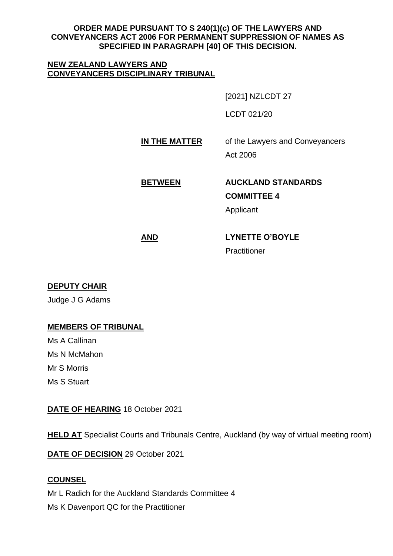## **ORDER MADE PURSUANT TO S 240(1)(c) OF THE LAWYERS AND CONVEYANCERS ACT 2006 FOR PERMANENT SUPPRESSION OF NAMES AS SPECIFIED IN PARAGRAPH [40] OF THIS DECISION.**

#### **NEW ZEALAND LAWYERS AND CONVEYANCERS DISCIPLINARY TRIBUNAL**

[2021] NZLCDT 27

LCDT 021/20

**IN THE MATTER** of the Lawyers and Conveyancers

Act 2006

# **BETWEEN AUCKLAND STANDARDS**

**COMMITTEE 4**

Applicant

# **AND LYNETTE O'BOYLE** Practitioner

**DEPUTY CHAIR**

Judge J G Adams

# **MEMBERS OF TRIBUNAL**

Ms A Callinan Ms N McMahon Mr S Morris Ms S Stuart

# **DATE OF HEARING** 18 October 2021

**HELD AT** Specialist Courts and Tribunals Centre, Auckland (by way of virtual meeting room)

**DATE OF DECISION** 29 October 2021

# **COUNSEL**

Mr L Radich for the Auckland Standards Committee 4 Ms K Davenport QC for the Practitioner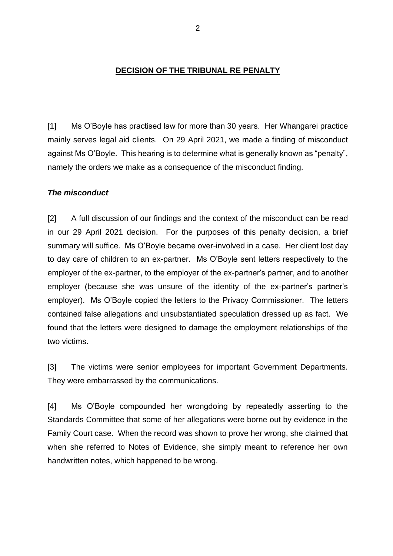#### **DECISION OF THE TRIBUNAL RE PENALTY**

[1] Ms O'Boyle has practised law for more than 30 years. Her Whangarei practice mainly serves legal aid clients. On 29 April 2021, we made a finding of misconduct against Ms O'Boyle. This hearing is to determine what is generally known as "penalty", namely the orders we make as a consequence of the misconduct finding.

#### *The misconduct*

[2] A full discussion of our findings and the context of the misconduct can be read in our 29 April 2021 decision. For the purposes of this penalty decision, a brief summary will suffice. Ms O'Boyle became over-involved in a case. Her client lost day to day care of children to an ex-partner. Ms O'Boyle sent letters respectively to the employer of the ex-partner, to the employer of the ex-partner's partner, and to another employer (because she was unsure of the identity of the ex-partner's partner's employer). Ms O'Boyle copied the letters to the Privacy Commissioner. The letters contained false allegations and unsubstantiated speculation dressed up as fact. We found that the letters were designed to damage the employment relationships of the two victims.

[3] The victims were senior employees for important Government Departments. They were embarrassed by the communications.

[4] Ms O'Boyle compounded her wrongdoing by repeatedly asserting to the Standards Committee that some of her allegations were borne out by evidence in the Family Court case. When the record was shown to prove her wrong, she claimed that when she referred to Notes of Evidence, she simply meant to reference her own handwritten notes, which happened to be wrong.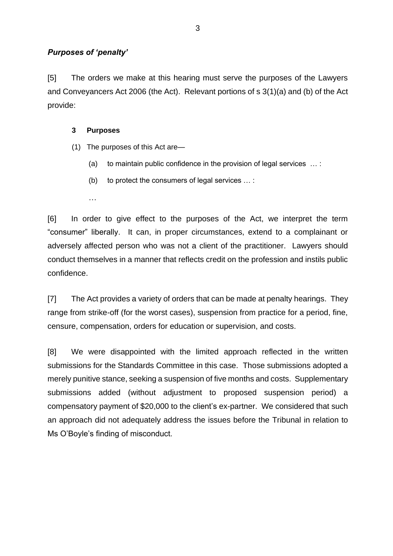## *Purposes of 'penalty'*

[5] The orders we make at this hearing must serve the purposes of the Lawyers and Conveyancers Act 2006 (the Act). Relevant portions of s 3(1)(a) and (b) of the Act provide:

#### **3 Purposes**

- (1) The purposes of this Act are—
	- (a) to maintain public confidence in the provision of legal services … :
	- (b) to protect the consumers of legal services … :
	- …

[6] In order to give effect to the purposes of the Act, we interpret the term "consumer" liberally. It can, in proper circumstances, extend to a complainant or adversely affected person who was not a client of the practitioner. Lawyers should conduct themselves in a manner that reflects credit on the profession and instils public confidence.

[7] The Act provides a variety of orders that can be made at penalty hearings. They range from strike-off (for the worst cases), suspension from practice for a period, fine, censure, compensation, orders for education or supervision, and costs.

[8] We were disappointed with the limited approach reflected in the written submissions for the Standards Committee in this case. Those submissions adopted a merely punitive stance, seeking a suspension of five months and costs. Supplementary submissions added (without adjustment to proposed suspension period) a compensatory payment of \$20,000 to the client's ex-partner. We considered that such an approach did not adequately address the issues before the Tribunal in relation to Ms O'Boyle's finding of misconduct.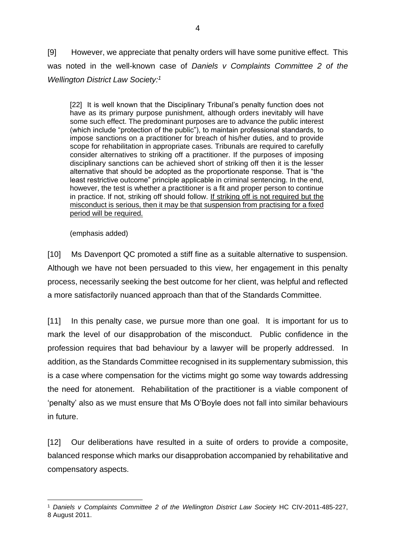[9] However, we appreciate that penalty orders will have some punitive effect. This was noted in the well-known case of *Daniels v Complaints Committee 2 of the Wellington District Law Society: 1*

[22] It is well known that the Disciplinary Tribunal's penalty function does not have as its primary purpose punishment, although orders inevitably will have some such effect. The predominant purposes are to advance the public interest (which include "protection of the public"), to maintain professional standards, to impose sanctions on a practitioner for breach of his/her duties, and to provide scope for rehabilitation in appropriate cases. Tribunals are required to carefully consider alternatives to striking off a practitioner. If the purposes of imposing disciplinary sanctions can be achieved short of striking off then it is the lesser alternative that should be adopted as the proportionate response. That is "the least restrictive outcome" principle applicable in criminal sentencing. In the end, however, the test is whether a practitioner is a fit and proper person to continue in practice. If not, striking off should follow. If striking off is not required but the misconduct is serious, then it may be that suspension from practising for a fixed period will be required.

(emphasis added)

[10] Ms Davenport QC promoted a stiff fine as a suitable alternative to suspension. Although we have not been persuaded to this view, her engagement in this penalty process, necessarily seeking the best outcome for her client, was helpful and reflected a more satisfactorily nuanced approach than that of the Standards Committee.

[11] In this penalty case, we pursue more than one goal. It is important for us to mark the level of our disapprobation of the misconduct. Public confidence in the profession requires that bad behaviour by a lawyer will be properly addressed. In addition, as the Standards Committee recognised in its supplementary submission, this is a case where compensation for the victims might go some way towards addressing the need for atonement. Rehabilitation of the practitioner is a viable component of 'penalty' also as we must ensure that Ms O'Boyle does not fall into similar behaviours in future.

[12] Our deliberations have resulted in a suite of orders to provide a composite, balanced response which marks our disapprobation accompanied by rehabilitative and compensatory aspects.

<sup>&</sup>lt;sup>1</sup> Daniels v Complaints Committee 2 of the Wellington District Law Society HC CIV-2011-485-227, 8 August 2011.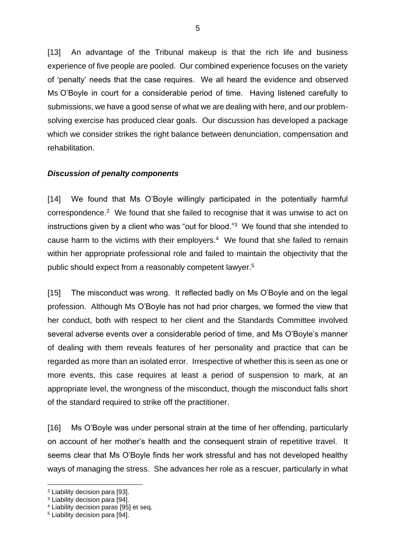[13] An advantage of the Tribunal makeup is that the rich life and business experience of five people are pooled. Our combined experience focuses on the variety of 'penalty' needs that the case requires. We all heard the evidence and observed Ms O'Boyle in court for a considerable period of time. Having listened carefully to submissions, we have a good sense of what we are dealing with here, and our problemsolving exercise has produced clear goals. Our discussion has developed a package which we consider strikes the right balance between denunciation, compensation and rehabilitation.

## *Discussion of penalty components*

[14] We found that Ms O'Boyle willingly participated in the potentially harmful correspondence.<sup>2</sup> We found that she failed to recognise that it was unwise to act on instructions given by a client who was "out for blood."<sup>3</sup> We found that she intended to cause harm to the victims with their employers. $4$  We found that she failed to remain within her appropriate professional role and failed to maintain the objectivity that the public should expect from a reasonably competent lawyer.<sup>5</sup>

[15] The misconduct was wrong. It reflected badly on Ms O'Boyle and on the legal profession. Although Ms O'Boyle has not had prior charges, we formed the view that her conduct, both with respect to her client and the Standards Committee involved several adverse events over a considerable period of time, and Ms O'Boyle's manner of dealing with them reveals features of her personality and practice that can be regarded as more than an isolated error. Irrespective of whether this is seen as one or more events, this case requires at least a period of suspension to mark, at an appropriate level, the wrongness of the misconduct, though the misconduct falls short of the standard required to strike off the practitioner.

[16] Ms O'Boyle was under personal strain at the time of her offending, particularly on account of her mother's health and the consequent strain of repetitive travel. It seems clear that Ms O'Boyle finds her work stressful and has not developed healthy ways of managing the stress. She advances her role as a rescuer, particularly in what

<sup>2</sup> Liability decision para [93].

<sup>3</sup> Liability decision para [94].

<sup>4</sup> Liability decision paras [95] et seq.

<sup>5</sup> Liability decision para [94].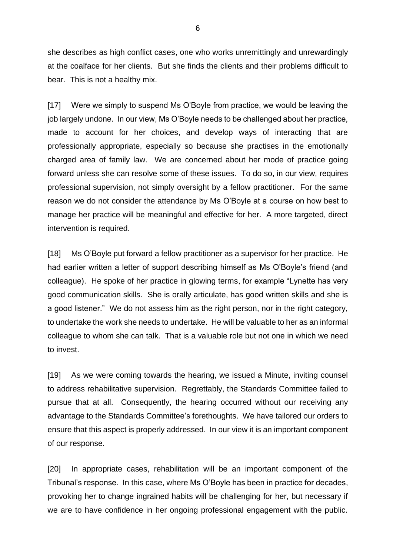she describes as high conflict cases, one who works unremittingly and unrewardingly at the coalface for her clients. But she finds the clients and their problems difficult to bear. This is not a healthy mix.

[17] Were we simply to suspend Ms O'Boyle from practice, we would be leaving the job largely undone. In our view, Ms O'Boyle needs to be challenged about her practice, made to account for her choices, and develop ways of interacting that are professionally appropriate, especially so because she practises in the emotionally charged area of family law. We are concerned about her mode of practice going forward unless she can resolve some of these issues. To do so, in our view, requires professional supervision, not simply oversight by a fellow practitioner. For the same reason we do not consider the attendance by Ms O'Boyle at a course on how best to manage her practice will be meaningful and effective for her. A more targeted, direct intervention is required.

[18] Ms O'Boyle put forward a fellow practitioner as a supervisor for her practice. He had earlier written a letter of support describing himself as Ms O'Boyle's friend (and colleague). He spoke of her practice in glowing terms, for example "Lynette has very good communication skills. She is orally articulate, has good written skills and she is a good listener." We do not assess him as the right person, nor in the right category, to undertake the work she needs to undertake. He will be valuable to her as an informal colleague to whom she can talk. That is a valuable role but not one in which we need to invest.

[19] As we were coming towards the hearing, we issued a Minute, inviting counsel to address rehabilitative supervision. Regrettably, the Standards Committee failed to pursue that at all. Consequently, the hearing occurred without our receiving any advantage to the Standards Committee's forethoughts. We have tailored our orders to ensure that this aspect is properly addressed. In our view it is an important component of our response.

[20] In appropriate cases, rehabilitation will be an important component of the Tribunal's response. In this case, where Ms O'Boyle has been in practice for decades, provoking her to change ingrained habits will be challenging for her, but necessary if we are to have confidence in her ongoing professional engagement with the public.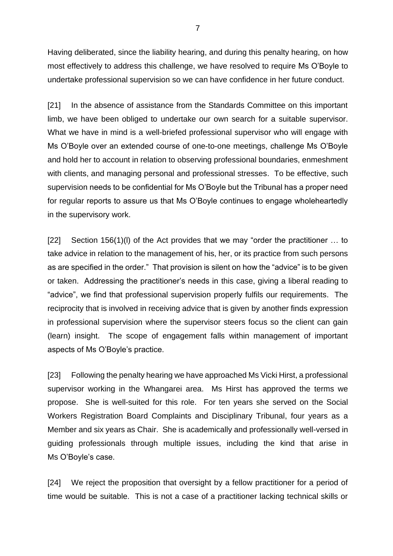Having deliberated, since the liability hearing, and during this penalty hearing, on how most effectively to address this challenge, we have resolved to require Ms O'Boyle to undertake professional supervision so we can have confidence in her future conduct.

[21] In the absence of assistance from the Standards Committee on this important limb, we have been obliged to undertake our own search for a suitable supervisor. What we have in mind is a well-briefed professional supervisor who will engage with Ms O'Boyle over an extended course of one-to-one meetings, challenge Ms O'Boyle and hold her to account in relation to observing professional boundaries, enmeshment with clients, and managing personal and professional stresses. To be effective, such supervision needs to be confidential for Ms O'Boyle but the Tribunal has a proper need for regular reports to assure us that Ms O'Boyle continues to engage wholeheartedly in the supervisory work.

[22] Section 156(1)(l) of the Act provides that we may "order the practitioner … to take advice in relation to the management of his, her, or its practice from such persons as are specified in the order." That provision is silent on how the "advice" is to be given or taken. Addressing the practitioner's needs in this case, giving a liberal reading to "advice", we find that professional supervision properly fulfils our requirements. The reciprocity that is involved in receiving advice that is given by another finds expression in professional supervision where the supervisor steers focus so the client can gain (learn) insight. The scope of engagement falls within management of important aspects of Ms O'Boyle's practice.

[23] Following the penalty hearing we have approached Ms Vicki Hirst, a professional supervisor working in the Whangarei area. Ms Hirst has approved the terms we propose. She is well-suited for this role. For ten years she served on the Social Workers Registration Board Complaints and Disciplinary Tribunal, four years as a Member and six years as Chair. She is academically and professionally well-versed in guiding professionals through multiple issues, including the kind that arise in Ms O'Boyle's case.

[24] We reject the proposition that oversight by a fellow practitioner for a period of time would be suitable. This is not a case of a practitioner lacking technical skills or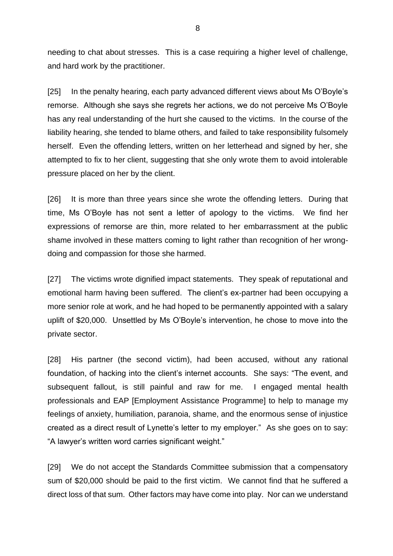needing to chat about stresses. This is a case requiring a higher level of challenge, and hard work by the practitioner.

[25] In the penalty hearing, each party advanced different views about Ms O'Boyle's remorse. Although she says she regrets her actions, we do not perceive Ms O'Boyle has any real understanding of the hurt she caused to the victims. In the course of the liability hearing, she tended to blame others, and failed to take responsibility fulsomely herself. Even the offending letters, written on her letterhead and signed by her, she attempted to fix to her client, suggesting that she only wrote them to avoid intolerable pressure placed on her by the client.

[26] It is more than three years since she wrote the offending letters. During that time, Ms O'Boyle has not sent a letter of apology to the victims. We find her expressions of remorse are thin, more related to her embarrassment at the public shame involved in these matters coming to light rather than recognition of her wrongdoing and compassion for those she harmed.

[27] The victims wrote dignified impact statements. They speak of reputational and emotional harm having been suffered. The client's ex-partner had been occupying a more senior role at work, and he had hoped to be permanently appointed with a salary uplift of \$20,000. Unsettled by Ms O'Boyle's intervention, he chose to move into the private sector.

[28] His partner (the second victim), had been accused, without any rational foundation, of hacking into the client's internet accounts. She says: "The event, and subsequent fallout, is still painful and raw for me. I engaged mental health professionals and EAP [Employment Assistance Programme] to help to manage my feelings of anxiety, humiliation, paranoia, shame, and the enormous sense of injustice created as a direct result of Lynette's letter to my employer." As she goes on to say: "A lawyer's written word carries significant weight."

[29] We do not accept the Standards Committee submission that a compensatory sum of \$20,000 should be paid to the first victim. We cannot find that he suffered a direct loss of that sum. Other factors may have come into play. Nor can we understand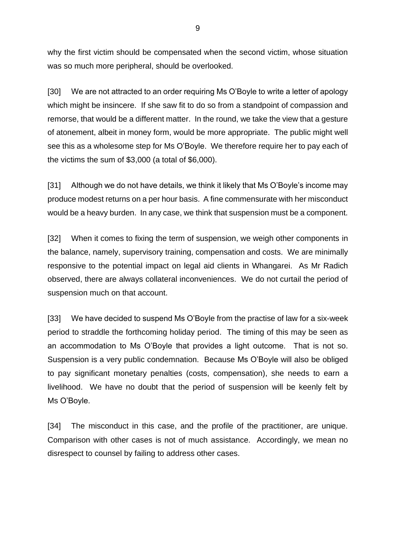why the first victim should be compensated when the second victim, whose situation was so much more peripheral, should be overlooked.

[30] We are not attracted to an order requiring Ms O'Boyle to write a letter of apology which might be insincere. If she saw fit to do so from a standpoint of compassion and remorse, that would be a different matter. In the round, we take the view that a gesture of atonement, albeit in money form, would be more appropriate. The public might well see this as a wholesome step for Ms O'Boyle. We therefore require her to pay each of the victims the sum of \$3,000 (a total of \$6,000).

[31] Although we do not have details, we think it likely that Ms O'Boyle's income may produce modest returns on a per hour basis. A fine commensurate with her misconduct would be a heavy burden. In any case, we think that suspension must be a component.

[32] When it comes to fixing the term of suspension, we weigh other components in the balance, namely, supervisory training, compensation and costs. We are minimally responsive to the potential impact on legal aid clients in Whangarei. As Mr Radich observed, there are always collateral inconveniences. We do not curtail the period of suspension much on that account.

[33] We have decided to suspend Ms O'Boyle from the practise of law for a six-week period to straddle the forthcoming holiday period. The timing of this may be seen as an accommodation to Ms O'Boyle that provides a light outcome. That is not so. Suspension is a very public condemnation. Because Ms O'Boyle will also be obliged to pay significant monetary penalties (costs, compensation), she needs to earn a livelihood. We have no doubt that the period of suspension will be keenly felt by Ms O'Boyle.

[34] The misconduct in this case, and the profile of the practitioner, are unique. Comparison with other cases is not of much assistance. Accordingly, we mean no disrespect to counsel by failing to address other cases.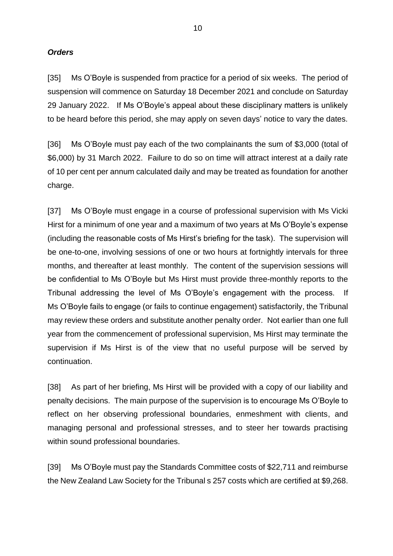#### *Orders*

[35] Ms O'Boyle is suspended from practice for a period of six weeks. The period of suspension will commence on Saturday 18 December 2021 and conclude on Saturday 29 January 2022. If Ms O'Boyle's appeal about these disciplinary matters is unlikely to be heard before this period, she may apply on seven days' notice to vary the dates.

[36] Ms O'Boyle must pay each of the two complainants the sum of \$3,000 (total of \$6,000) by 31 March 2022. Failure to do so on time will attract interest at a daily rate of 10 per cent per annum calculated daily and may be treated as foundation for another charge.

[37] Ms O'Boyle must engage in a course of professional supervision with Ms Vicki Hirst for a minimum of one year and a maximum of two years at Ms O'Boyle's expense (including the reasonable costs of Ms Hirst's briefing for the task). The supervision will be one-to-one, involving sessions of one or two hours at fortnightly intervals for three months, and thereafter at least monthly. The content of the supervision sessions will be confidential to Ms O'Boyle but Ms Hirst must provide three-monthly reports to the Tribunal addressing the level of Ms O'Boyle's engagement with the process. If Ms O'Boyle fails to engage (or fails to continue engagement) satisfactorily, the Tribunal may review these orders and substitute another penalty order. Not earlier than one full year from the commencement of professional supervision, Ms Hirst may terminate the supervision if Ms Hirst is of the view that no useful purpose will be served by continuation.

[38] As part of her briefing, Ms Hirst will be provided with a copy of our liability and penalty decisions. The main purpose of the supervision is to encourage Ms O'Boyle to reflect on her observing professional boundaries, enmeshment with clients, and managing personal and professional stresses, and to steer her towards practising within sound professional boundaries.

[39] Ms O'Boyle must pay the Standards Committee costs of \$22,711 and reimburse the New Zealand Law Society for the Tribunal s 257 costs which are certified at \$9,268.